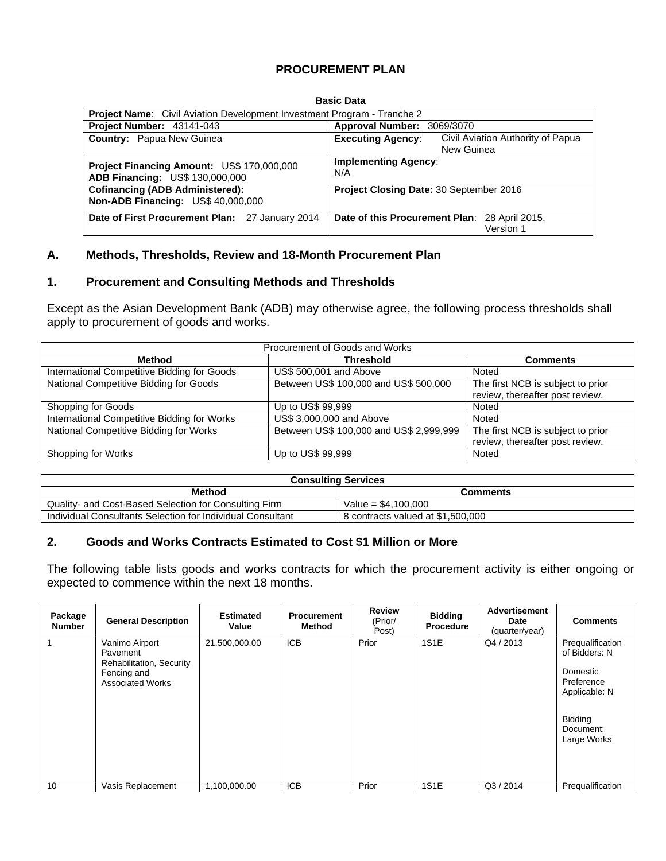# **PROCUREMENT PLAN**

|                                                                               | <b>Basic Data</b>                                                           |  |  |  |  |  |  |  |  |  |
|-------------------------------------------------------------------------------|-----------------------------------------------------------------------------|--|--|--|--|--|--|--|--|--|
| Project Name: Civil Aviation Development Investment Program - Tranche 2       |                                                                             |  |  |  |  |  |  |  |  |  |
| Project Number: 43141-043                                                     | <b>Approval Number:</b><br>3069/3070                                        |  |  |  |  |  |  |  |  |  |
| <b>Country:</b> Papua New Guinea                                              | Civil Aviation Authority of Papua<br><b>Executing Agency:</b><br>New Guinea |  |  |  |  |  |  |  |  |  |
| Project Financing Amount: US\$ 170,000,000<br>ADB Financing: US\$ 130,000,000 | <b>Implementing Agency:</b><br>N/A                                          |  |  |  |  |  |  |  |  |  |
| <b>Cofinancing (ADB Administered):</b><br>Non-ADB Financing: US\$ 40,000,000  | Project Closing Date: 30 September 2016                                     |  |  |  |  |  |  |  |  |  |
| Date of First Procurement Plan: 27 January 2014                               | Date of this Procurement Plan: 28 April 2015,<br>Version 1                  |  |  |  |  |  |  |  |  |  |

# **A. Methods, Thresholds, Review and 18-Month Procurement Plan**

### **1. Procurement and Consulting Methods and Thresholds**

Except as the Asian Development Bank (ADB) may otherwise agree, the following process thresholds shall apply to procurement of goods and works.

| Procurement of Goods and Works              |                                         |                                                                      |  |  |  |  |  |  |  |
|---------------------------------------------|-----------------------------------------|----------------------------------------------------------------------|--|--|--|--|--|--|--|
| Method                                      | <b>Threshold</b>                        | <b>Comments</b>                                                      |  |  |  |  |  |  |  |
| International Competitive Bidding for Goods | US\$ 500,001 and Above                  | Noted                                                                |  |  |  |  |  |  |  |
| National Competitive Bidding for Goods      | Between US\$ 100,000 and US\$ 500,000   | The first NCB is subject to prior<br>review, thereafter post review. |  |  |  |  |  |  |  |
| Shopping for Goods                          | Up to US\$ 99,999                       | Noted                                                                |  |  |  |  |  |  |  |
| International Competitive Bidding for Works | US\$ 3,000,000 and Above                | Noted                                                                |  |  |  |  |  |  |  |
| National Competitive Bidding for Works      | Between US\$ 100,000 and US\$ 2,999,999 | The first NCB is subject to prior<br>review, thereafter post review. |  |  |  |  |  |  |  |
| Shopping for Works                          | Up to US\$ 99,999                       | Noted                                                                |  |  |  |  |  |  |  |

| <b>Consulting Services</b>                                 |                                   |  |  |  |  |  |
|------------------------------------------------------------|-----------------------------------|--|--|--|--|--|
| <b>Method</b>                                              | <b>Comments</b>                   |  |  |  |  |  |
| Quality- and Cost-Based Selection for Consulting Firm      | Value = $$4.100.000$              |  |  |  |  |  |
| Individual Consultants Selection for Individual Consultant | 8 contracts valued at \$1,500,000 |  |  |  |  |  |

### **2. Goods and Works Contracts Estimated to Cost \$1 Million or More**

 $\overline{a}$ 

The following table lists goods and works contracts for which the procurement activity is either ongoing or expected to commence within the next 18 months.

| Package<br><b>Number</b> | <b>General Description</b>                                                                       | <b>Estimated</b><br>Value | <b>Procurement</b><br><b>Method</b> | <b>Review</b><br>(Prior/<br>Post) | <b>Bidding</b><br><b>Procedure</b> | <b>Advertisement</b><br>Date<br>(quarter/year) | <b>Comments</b>                                                                                                            |
|--------------------------|--------------------------------------------------------------------------------------------------|---------------------------|-------------------------------------|-----------------------------------|------------------------------------|------------------------------------------------|----------------------------------------------------------------------------------------------------------------------------|
|                          | Vanimo Airport<br>Pavement<br>Rehabilitation, Security<br>Fencing and<br><b>Associated Works</b> | 21,500,000.00             | <b>ICB</b>                          | Prior                             | <b>1S1E</b>                        | Q4 / 2013                                      | Prequalification<br>of Bidders: N<br>Domestic<br>Preference<br>Applicable: N<br><b>Bidding</b><br>Document:<br>Large Works |
| 10                       | Vasis Replacement                                                                                | 1,100,000.00              | <b>ICB</b>                          | Prior                             | <b>1S1E</b>                        | Q3/2014                                        | Prequalification                                                                                                           |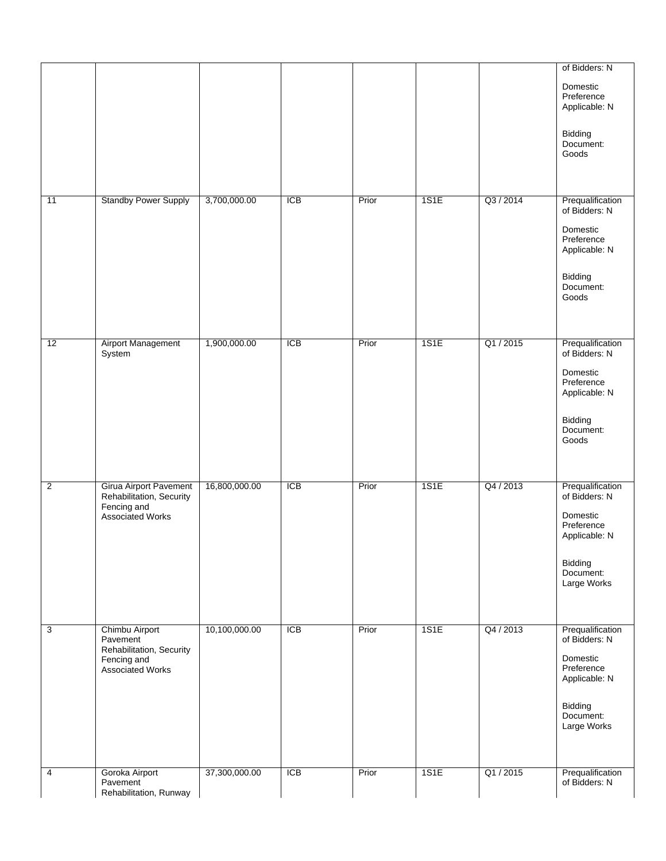|                |                                                             |               |            |       |      |           | of Bidders: N                           |
|----------------|-------------------------------------------------------------|---------------|------------|-------|------|-----------|-----------------------------------------|
|                |                                                             |               |            |       |      |           | Domestic<br>Preference<br>Applicable: N |
|                |                                                             |               |            |       |      |           | Bidding<br>Document:<br>Goods           |
|                |                                                             |               |            |       |      |           |                                         |
| 11             | <b>Standby Power Supply</b>                                 | 3,700,000.00  | <b>ICB</b> | Prior | 1S1E | Q3 / 2014 | Prequalification<br>of Bidders: N       |
|                |                                                             |               |            |       |      |           | Domestic<br>Preference<br>Applicable: N |
|                |                                                             |               |            |       |      |           | Bidding<br>Document:<br>Goods           |
| 12             | <b>Airport Management</b>                                   | 1,900,000.00  | ICB        | Prior | 1S1E | Q1 / 2015 | Prequalification                        |
|                | System                                                      |               |            |       |      |           | of Bidders: N                           |
|                |                                                             |               |            |       |      |           | Domestic<br>Preference<br>Applicable: N |
|                |                                                             |               |            |       |      |           | Bidding<br>Document:<br>Goods           |
|                |                                                             |               |            |       |      |           |                                         |
| $\overline{2}$ | Girua Airport Pavement<br>Rehabilitation, Security          | 16,800,000.00 | <b>ICB</b> | Prior | 1S1E | Q4 / 2013 | Prequalification<br>of Bidders: N       |
|                | Fencing and<br><b>Associated Works</b>                      |               |            |       |      |           | Domestic<br>Preference<br>Applicable: N |
|                |                                                             |               |            |       |      |           | Bidding<br>Document:<br>Large Works     |
|                |                                                             |               |            |       |      |           |                                         |
| $\overline{3}$ | Chimbu Airport<br>Pavement                                  | 10,100,000.00 | <b>ICB</b> | Prior | 1S1E | Q4 / 2013 | Prequalification<br>of Bidders: N       |
|                | Rehabilitation, Security<br>Fencing and<br>Associated Works |               |            |       |      |           | Domestic<br>Preference<br>Applicable: N |
|                |                                                             |               |            |       |      |           | Bidding<br>Document:<br>Large Works     |
|                |                                                             |               |            |       |      |           |                                         |
| 4              | Goroka Airport<br>Pavement<br>Rehabilitation, Runway        | 37,300,000.00 | <b>ICB</b> | Prior | 1S1E | Q1 / 2015 | Prequalification<br>of Bidders: N       |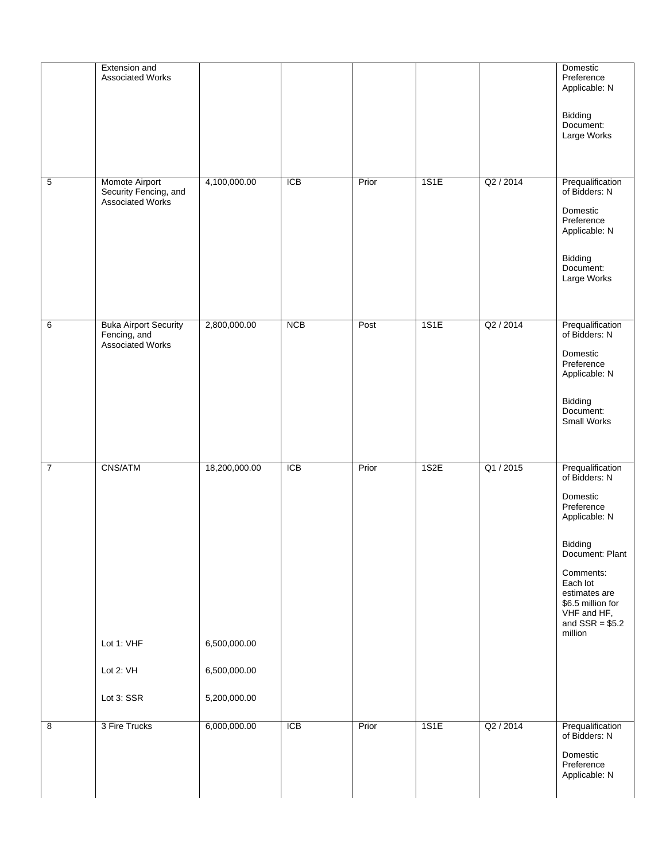|                | Extension and<br>Associated Works            |               |            |       |      |           | Domestic<br>Preference<br>Applicable: N                                                                   |
|----------------|----------------------------------------------|---------------|------------|-------|------|-----------|-----------------------------------------------------------------------------------------------------------|
|                |                                              |               |            |       |      |           | Bidding<br>Document:<br>Large Works                                                                       |
| 5              | Momote Airport<br>Security Fencing, and      | 4,100,000.00  | <b>ICB</b> | Prior | 1S1E | Q2 / 2014 | Prequalification<br>of Bidders: N                                                                         |
|                | Associated Works                             |               |            |       |      |           | Domestic<br>Preference<br>Applicable: N                                                                   |
|                |                                              |               |            |       |      |           | Bidding<br>Document:<br>Large Works                                                                       |
| 6              | <b>Buka Airport Security</b><br>Fencing, and | 2,800,000.00  | <b>NCB</b> | Post  | 1S1E | Q2 / 2014 | Prequalification<br>of Bidders: N                                                                         |
|                | Associated Works                             |               |            |       |      |           | Domestic<br>Preference<br>Applicable: N                                                                   |
|                |                                              |               |            |       |      |           | Bidding<br>Document:<br>Small Works                                                                       |
| $\overline{7}$ | CNS/ATM                                      | 18,200,000.00 | <b>ICB</b> | Prior | 1S2E | Q1 / 2015 | Prequalification<br>of Bidders: N                                                                         |
|                |                                              |               |            |       |      |           | Domestic<br>Preference<br>Applicable: N                                                                   |
|                |                                              |               |            |       |      |           | Bidding<br>Document: Plant                                                                                |
|                |                                              |               |            |       |      |           | Comments:<br>Each lot<br>estimates are<br>\$6.5 million for<br>VHF and HF,<br>and $SSR = $5.2$<br>million |
|                | Lot 1: VHF                                   | 6,500,000.00  |            |       |      |           |                                                                                                           |
|                | Lot 2: VH                                    | 6,500,000.00  |            |       |      |           |                                                                                                           |
|                | Lot 3: SSR                                   | 5,200,000.00  |            |       |      |           |                                                                                                           |
| $\overline{8}$ | 3 Fire Trucks                                | 6,000,000.00  | ICB        | Prior | 1S1E | Q2 / 2014 | Prequalification<br>of Bidders: N                                                                         |
|                |                                              |               |            |       |      |           | Domestic<br>Preference<br>Applicable: N                                                                   |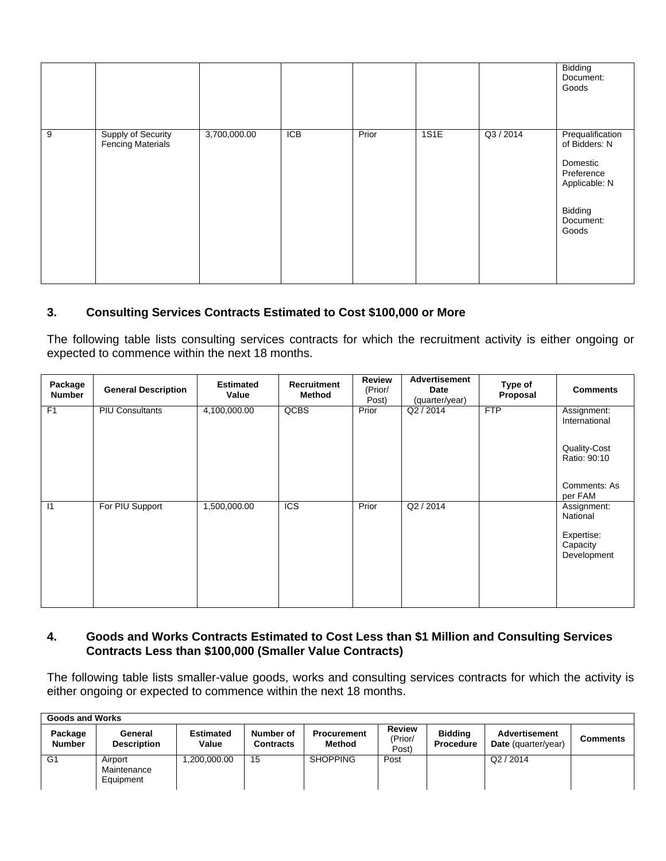|   |                                         |              |                  |       |      |           | Bidding<br>Document:<br>Goods                                                                                 |
|---|-----------------------------------------|--------------|------------------|-------|------|-----------|---------------------------------------------------------------------------------------------------------------|
| 9 | Supply of Security<br>Fencing Materials | 3,700,000.00 | $\overline{ICB}$ | Prior | 1S1E | Q3 / 2014 | Prequalification<br>of Bidders: N<br>Domestic<br>Preference<br>Applicable: N<br>Bidding<br>Document:<br>Goods |

# **3. Consulting Services Contracts Estimated to Cost \$100,000 or More**

The following table lists consulting services contracts for which the recruitment activity is either ongoing or expected to commence within the next 18 months.

| Package<br><b>Number</b> | <b>General Description</b> | <b>Estimated</b><br>Value | Recruitment<br>Method | <b>Review</b><br>(Prior/<br>Post) | Advertisement<br>Date<br>(quarter/year) | Type of<br>Proposal | <b>Comments</b>                                                  |
|--------------------------|----------------------------|---------------------------|-----------------------|-----------------------------------|-----------------------------------------|---------------------|------------------------------------------------------------------|
| F1                       | <b>PIU Consultants</b>     | 4,100,000.00              | QCBS                  | Prior                             | Q2 / 2014                               | <b>FTP</b>          | Assignment:<br>International                                     |
|                          |                            |                           |                       |                                   |                                         |                     | Quality-Cost<br>Ratio: 90:10                                     |
|                          |                            |                           |                       |                                   |                                         |                     | Comments: As<br>per FAM                                          |
| $\overline{11}$          | For PIU Support            | 1,500,000.00              | $\overline{C}$        | Prior                             | Q2 / 2014                               |                     | Assignment:<br>National<br>Expertise:<br>Capacity<br>Development |

# **4. Goods and Works Contracts Estimated to Cost Less than \$1 Million and Consulting Services Contracts Less than \$100,000 (Smaller Value Contracts)**

The following table lists smaller-value goods, works and consulting services contracts for which the activity is either ongoing or expected to commence within the next 18 months.

|                          | <b>Goods and Works</b>              |                           |                               |                              |                                   |                                    |                                      |                 |  |  |
|--------------------------|-------------------------------------|---------------------------|-------------------------------|------------------------------|-----------------------------------|------------------------------------|--------------------------------------|-----------------|--|--|
| Package<br><b>Number</b> | General<br><b>Description</b>       | <b>Estimated</b><br>Value | Number of<br><b>Contracts</b> | <b>Procurement</b><br>Method | <b>Review</b><br>(Prior/<br>Post) | <b>Biddina</b><br><b>Procedure</b> | Advertisement<br>Date (quarter/year) | <b>Comments</b> |  |  |
| G1                       | Airport<br>Maintenance<br>Equipment | ,200,000.00               | 15                            | <b>SHOPPING</b>              | Post                              |                                    | Q2/2014                              |                 |  |  |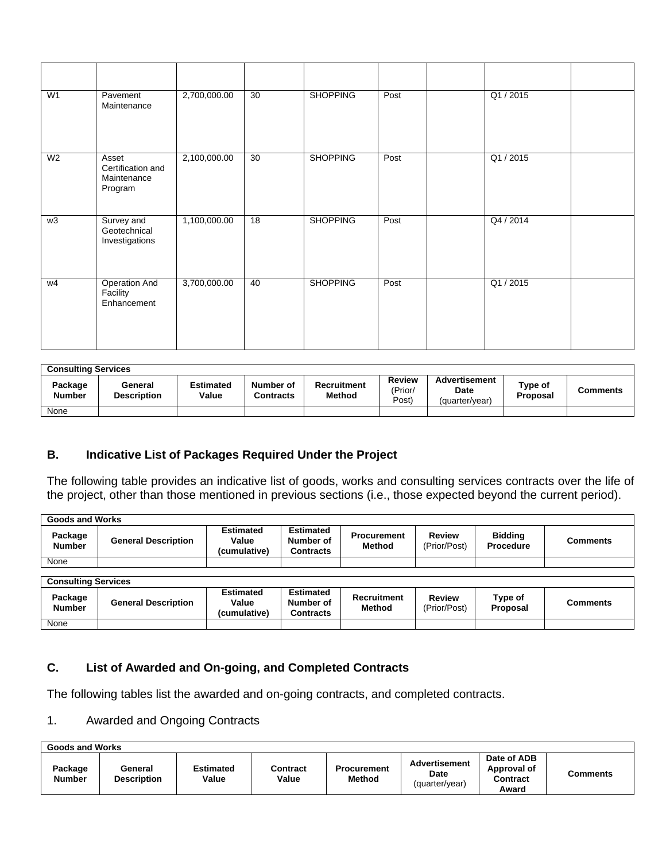| W1             | Pavement<br>Maintenance                              | 2,700,000.00 | 30              | <b>SHOPPING</b> | Post | Q1 / 2015 |  |
|----------------|------------------------------------------------------|--------------|-----------------|-----------------|------|-----------|--|
| W <sub>2</sub> | Asset<br>Certification and<br>Maintenance<br>Program | 2,100,000.00 | 30              | <b>SHOPPING</b> | Post | Q1 / 2015 |  |
| w3             | Survey and<br>Geotechnical<br>Investigations         | 1,100,000.00 | $\overline{18}$ | <b>SHOPPING</b> | Post | Q4 / 2014 |  |
| w4             | <b>Operation And</b><br>Facility<br>Enhancement      | 3,700,000.00 | 40              | <b>SHOPPING</b> | Post | Q1/2015   |  |

| <b>Consulting Services</b> |                               |                           |                               |                                     |                            |                                         |                            |          |  |
|----------------------------|-------------------------------|---------------------------|-------------------------------|-------------------------------------|----------------------------|-----------------------------------------|----------------------------|----------|--|
| Package<br><b>Number</b>   | General<br><b>Description</b> | <b>Estimated</b><br>Value | Number of<br><b>Contracts</b> | <b>Recruitment</b><br><b>Method</b> | Review<br>(Prior/<br>Post) | Advertisement<br>Date<br>(quarter/vear) | Type of<br><b>Proposal</b> | Comments |  |
| None                       |                               |                           |                               |                                     |                            |                                         |                            |          |  |

# **B. Indicative List of Packages Required Under the Project**

The following table provides an indicative list of goods, works and consulting services contracts over the life of the project, other than those mentioned in previous sections (i.e., those expected beyond the current period).

| Goods and Works            |                            |                                           |                                            |                                     |                               |                                    |                 |
|----------------------------|----------------------------|-------------------------------------------|--------------------------------------------|-------------------------------------|-------------------------------|------------------------------------|-----------------|
| Package<br><b>Number</b>   | <b>General Description</b> | <b>Estimated</b><br>Value<br>(cumulative) | <b>Estimated</b><br>Number of<br>Contracts | <b>Procurement</b><br>Method        | <b>Review</b><br>(Prior/Post) | <b>Bidding</b><br><b>Procedure</b> | <b>Comments</b> |
| None                       |                            |                                           |                                            |                                     |                               |                                    |                 |
|                            |                            |                                           |                                            |                                     |                               |                                    |                 |
| <b>Consulting Services</b> |                            |                                           |                                            |                                     |                               |                                    |                 |
| Package<br><b>Number</b>   | <b>General Description</b> | <b>Estimated</b><br>Value<br>(cumulative) | <b>Estimated</b><br>Number of<br>Contracts | <b>Recruitment</b><br><b>Method</b> | <b>Review</b><br>(Prior/Post) | Type of<br>Proposal                | <b>Comments</b> |
| None                       |                            |                                           |                                            |                                     |                               |                                    |                 |

# **C. List of Awarded and On-going, and Completed Contracts**

The following tables list the awarded and on-going contracts, and completed contracts.

# 1. Awarded and Ongoing Contracts

| Goods and Works          |                               |                    |                   |                              |                                                       |                                                 |          |
|--------------------------|-------------------------------|--------------------|-------------------|------------------------------|-------------------------------------------------------|-------------------------------------------------|----------|
| Package<br><b>Number</b> | General<br><b>Description</b> | Estimated<br>Value | Contract<br>Value | <b>Procurement</b><br>Method | <b>Advertisement</b><br><b>Date</b><br>(quarter/year) | Date of ADB<br>Approval of<br>Contract<br>Award | Comments |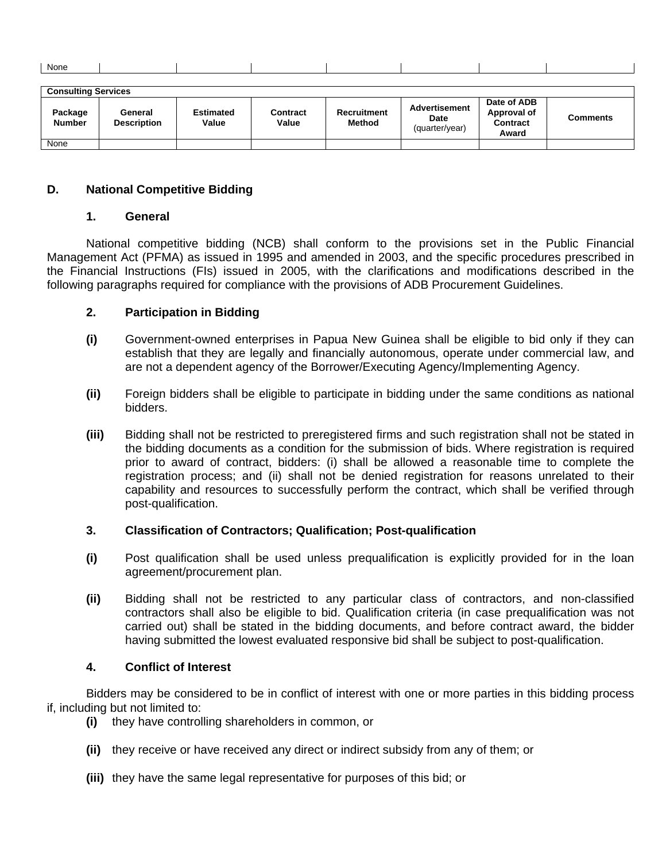| None |  |  |  |  |
|------|--|--|--|--|
|      |  |  |  |  |

| <b>Consulting Services</b> |                               |                           |                   |                                     |                                                |                                                        |          |  |
|----------------------------|-------------------------------|---------------------------|-------------------|-------------------------------------|------------------------------------------------|--------------------------------------------------------|----------|--|
| Package<br><b>Number</b>   | General<br><b>Description</b> | <b>Estimated</b><br>Value | Contract<br>Value | <b>Recruitment</b><br><b>Method</b> | <b>Advertisement</b><br>Date<br>(quarter/year) | Date of ADB<br>Approval of<br><b>Contract</b><br>Award | Comments |  |
| None                       |                               |                           |                   |                                     |                                                |                                                        |          |  |

### **D. National Competitive Bidding**

#### **1. General**

National competitive bidding (NCB) shall conform to the provisions set in the Public Financial Management Act (PFMA) as issued in 1995 and amended in 2003, and the specific procedures prescribed in the Financial Instructions (FIs) issued in 2005, with the clarifications and modifications described in the following paragraphs required for compliance with the provisions of ADB Procurement Guidelines.

### **2. Participation in Bidding**

- **(i)** Government-owned enterprises in Papua New Guinea shall be eligible to bid only if they can establish that they are legally and financially autonomous, operate under commercial law, and are not a dependent agency of the Borrower/Executing Agency/Implementing Agency.
- **(ii)** Foreign bidders shall be eligible to participate in bidding under the same conditions as national bidders.
- **(iii)** Bidding shall not be restricted to preregistered firms and such registration shall not be stated in the bidding documents as a condition for the submission of bids. Where registration is required prior to award of contract, bidders: (i) shall be allowed a reasonable time to complete the registration process; and (ii) shall not be denied registration for reasons unrelated to their capability and resources to successfully perform the contract, which shall be verified through post-qualification.

#### **3. Classification of Contractors; Qualification; Post-qualification**

- **(i)** Post qualification shall be used unless prequalification is explicitly provided for in the loan agreement/procurement plan.
- **(ii)** Bidding shall not be restricted to any particular class of contractors, and non-classified contractors shall also be eligible to bid. Qualification criteria (in case prequalification was not carried out) shall be stated in the bidding documents, and before contract award, the bidder having submitted the lowest evaluated responsive bid shall be subject to post-qualification.

# **4. Conflict of Interest**

Bidders may be considered to be in conflict of interest with one or more parties in this bidding process if, including but not limited to:

- **(i)** they have controlling shareholders in common, or
- **(ii)** they receive or have received any direct or indirect subsidy from any of them; or
- **(iii)** they have the same legal representative for purposes of this bid; or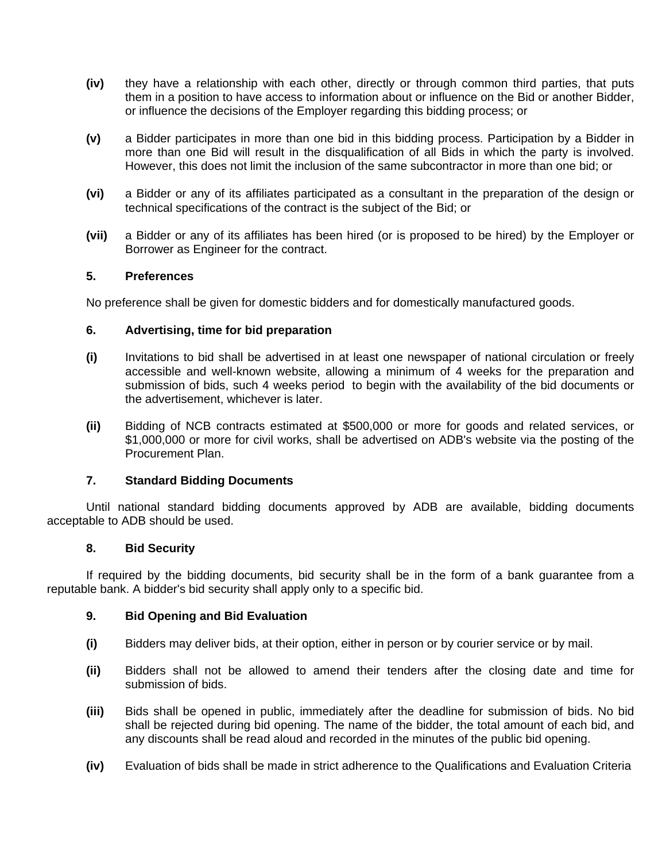- **(iv)** they have a relationship with each other, directly or through common third parties, that puts them in a position to have access to information about or influence on the Bid or another Bidder, or influence the decisions of the Employer regarding this bidding process; or
- **(v)** a Bidder participates in more than one bid in this bidding process. Participation by a Bidder in more than one Bid will result in the disqualification of all Bids in which the party is involved. However, this does not limit the inclusion of the same subcontractor in more than one bid; or
- **(vi)** a Bidder or any of its affiliates participated as a consultant in the preparation of the design or technical specifications of the contract is the subject of the Bid; or
- **(vii)** a Bidder or any of its affiliates has been hired (or is proposed to be hired) by the Employer or Borrower as Engineer for the contract.

#### **5. Preferences**

No preference shall be given for domestic bidders and for domestically manufactured goods.

### **6. Advertising, time for bid preparation**

- **(i)** Invitations to bid shall be advertised in at least one newspaper of national circulation or freely accessible and well-known website, allowing a minimum of 4 weeks for the preparation and submission of bids, such 4 weeks period to begin with the availability of the bid documents or the advertisement, whichever is later.
- **(ii)** Bidding of NCB contracts estimated at \$500,000 or more for goods and related services, or \$1,000,000 or more for civil works, shall be advertised on ADB's website via the posting of the Procurement Plan.

#### **7. Standard Bidding Documents**

Until national standard bidding documents approved by ADB are available, bidding documents acceptable to ADB should be used.

#### **8. Bid Security**

If required by the bidding documents, bid security shall be in the form of a bank guarantee from a reputable bank. A bidder's bid security shall apply only to a specific bid.

### **9. Bid Opening and Bid Evaluation**

- **(i)** Bidders may deliver bids, at their option, either in person or by courier service or by mail.
- **(ii)** Bidders shall not be allowed to amend their tenders after the closing date and time for submission of bids.
- **(iii)** Bids shall be opened in public, immediately after the deadline for submission of bids. No bid shall be rejected during bid opening. The name of the bidder, the total amount of each bid, and any discounts shall be read aloud and recorded in the minutes of the public bid opening.
- **(iv)** Evaluation of bids shall be made in strict adherence to the Qualifications and Evaluation Criteria